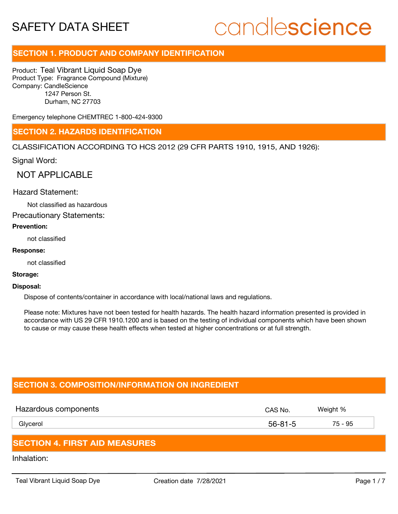# candlescience

# **SECTION 1. PRODUCT AND COMPANY IDENTIFICATION**

Product: Teal Vibrant Liquid Soap Dye Product Type: Fragrance Compound (Mixture) Company: CandleScience 1247 Person St. Durham, NC 27703

Emergency telephone CHEMTREC 1-800-424-9300

# **SECTION 2. HAZARDS IDENTIFICATION**

CLASSIFICATION ACCORDING TO HCS 2012 (29 CFR PARTS 1910, 1915, AND 1926):

Signal Word:

NOT APPLICABLE

# Hazard Statement:

Not classified as hazardous

Precautionary Statements:

### **Prevention:**

not classified

### **Response:**

not classified

### **Storage:**

#### **Disposal:**

Dispose of contents/container in accordance with local/national laws and regulations.

Please note: Mixtures have not been tested for health hazards. The health hazard information presented is provided in accordance with US 29 CFR 1910.1200 and is based on the testing of individual components which have been shown to cause or may cause these health effects when tested at higher concentrations or at full strength.

# **SECTION 3. COMPOSITION/INFORMATION ON INGREDIENT**

| Hazardous components | CAS No.       | Weight % |
|----------------------|---------------|----------|
| Glycerol             | $56 - 81 - 5$ | 75 - 95  |
|                      |               |          |

# **SECTION 4. FIRST AID MEASURES**

Inhalation: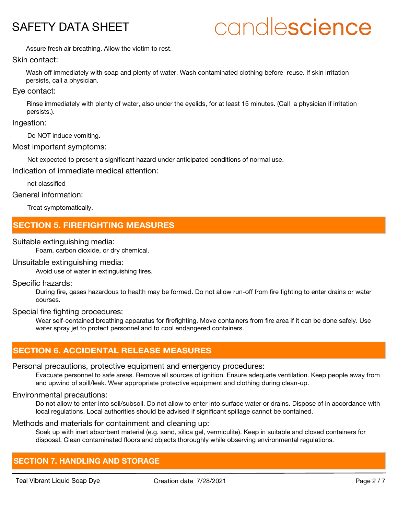# candlescience

Assure fresh air breathing. Allow the victim to rest.

### Skin contact:

Wash off immediately with soap and plenty of water. Wash contaminated clothing before reuse. If skin irritation persists, call a physician.

# Eye contact:

Rinse immediately with plenty of water, also under the eyelids, for at least 15 minutes. (Call a physician if irritation persists.).

# Ingestion:

Do NOT induce vomiting.

# Most important symptoms:

Not expected to present a significant hazard under anticipated conditions of normal use.

Indication of immediate medical attention:

not classified

# General information:

Treat symptomatically.

# **SECTION 5. FIREFIGHTING MEASURES**

# Suitable extinguishing media:

Foam, carbon dioxide, or dry chemical.

# Unsuitable extinguishing media:

Avoid use of water in extinguishing fires.

# Specific hazards:

During fire, gases hazardous to health may be formed. Do not allow run-off from fire fighting to enter drains or water courses.

### Special fire fighting procedures:

Wear self-contained breathing apparatus for firefighting. Move containers from fire area if it can be done safely. Use water spray jet to protect personnel and to cool endangered containers.

# **SECTION 6. ACCIDENTAL RELEASE MEASURES**

# Personal precautions, protective equipment and emergency procedures:

Evacuate personnel to safe areas. Remove all sources of ignition. Ensure adequate ventilation. Keep people away from and upwind of spill/leak. Wear appropriate protective equipment and clothing during clean-up.

# Environmental precautions:

Do not allow to enter into soil/subsoil. Do not allow to enter into surface water or drains. Dispose of in accordance with local regulations. Local authorities should be advised if significant spillage cannot be contained.

# Methods and materials for containment and cleaning up:

Soak up with inert absorbent material (e.g. sand, silica gel, vermiculite). Keep in suitable and closed containers for disposal. Clean contaminated floors and objects thoroughly while observing environmental regulations.

# **SECTION 7. HANDLING AND STORAGE**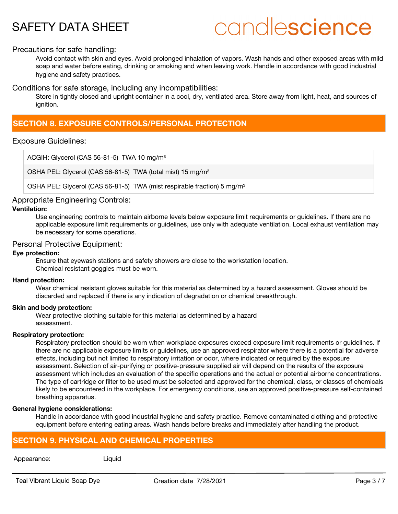# candlescience

# Precautions for safe handling:

Avoid contact with skin and eyes. Avoid prolonged inhalation of vapors. Wash hands and other exposed areas with mild soap and water before eating, drinking or smoking and when leaving work. Handle in accordance with good industrial hygiene and safety practices.

Conditions for safe storage, including any incompatibilities:

Store in tightly closed and upright container in a cool, dry, ventilated area. Store away from light, heat, and sources of ignition.

# **SECTION 8. EXPOSURE CONTROLS/PERSONAL PROTECTION**

# Exposure Guidelines:

ACGIH: Glycerol (CAS 56-81-5) TWA 10 mg/m<sup>3</sup>

OSHA PEL: Glycerol (CAS 56-81-5) TWA (total mist) 15 mg/m<sup>3</sup>

OSHA PEL: Glycerol (CAS 56-81-5) TWA (mist respirable fraction) 5 mg/m<sup>3</sup>

# Appropriate Engineering Controls:

# **Ventilation:**

Use engineering controls to maintain airborne levels below exposure limit requirements or guidelines. If there are no applicable exposure limit requirements or guidelines, use only with adequate ventilation. Local exhaust ventilation may be necessary for some operations.

# Personal Protective Equipment:

### **Eye protection:**

Ensure that eyewash stations and safety showers are close to the workstation location. Chemical resistant goggles must be worn.

### **Hand protection:**

Wear chemical resistant gloves suitable for this material as determined by a hazard assessment. Gloves should be discarded and replaced if there is any indication of degradation or chemical breakthrough.

### **Skin and body protection:**

Wear protective clothing suitable for this material as determined by a hazard assessment.

### **Respiratory protection:**

Respiratory protection should be worn when workplace exposures exceed exposure limit requirements or guidelines. If there are no applicable exposure limits or guidelines, use an approved respirator where there is a potential for adverse effects, including but not limited to respiratory irritation or odor, where indicated or required by the exposure assessment. Selection of air-purifying or positive-pressure supplied air will depend on the results of the exposure assessment which includes an evaluation of the specific operations and the actual or potential airborne concentrations. The type of cartridge or filter to be used must be selected and approved for the chemical, class, or classes of chemicals likely to be encountered in the workplace. For emergency conditions, use an approved positive-pressure self-contained breathing apparatus.

### **General hygiene considerations:**

Handle in accordance with good industrial hygiene and safety practice. Remove contaminated clothing and protective equipment before entering eating areas. Wash hands before breaks and immediately after handling the product.

# **SECTION 9. PHYSICAL AND CHEMICAL PROPERTIES**

### Appearance: Liquid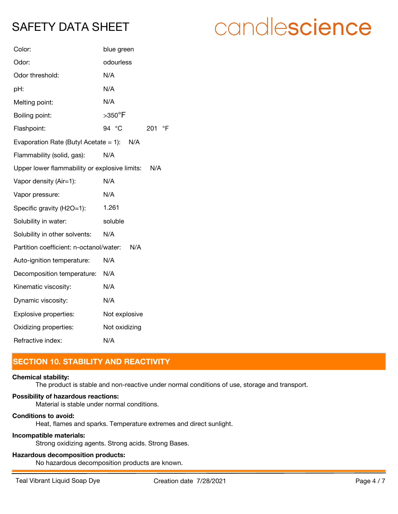| Color:                                        | blue green                   |
|-----------------------------------------------|------------------------------|
| Odor:                                         | odourless                    |
| Odor threshold:                               | N/A                          |
| pH:                                           | N/A                          |
| Melting point:                                | N/A                          |
| Boiling point:                                | $>$ 350 $^{\circ}$ F         |
| Flashpoint:                                   | 94 °C<br>$\mathsf{P}$<br>201 |
| Evaporation Rate (Butyl Acetate = 1): $N/A$   |                              |
| Flammability (solid, gas):                    | N/A                          |
| Upper lower flammability or explosive limits: | N/A                          |
| Vapor density (Air=1):                        | N/A                          |
| Vapor pressure:                               | N/A                          |
| Specific gravity (H2O=1):                     | 1.261                        |
| Solubility in water:                          | soluble                      |
| Solubility in other solvents:                 | N/A                          |
| Partition coefficient: n-octanol/water:       | N/A                          |
| Auto-ignition temperature:                    | N/A                          |
| Decomposition temperature:                    | N/A                          |
| Kinematic viscosity:                          | N/A                          |
| Dynamic viscosity:                            | N/A                          |
| Explosive properties:                         | Not explosive                |
| Oxidizing properties:                         | Not oxidizing                |
| Refractive index:                             | N/A                          |

# **SECTION 10. STABILITY AND REACTIVITY**

### **Chemical stability:**

The product is stable and non-reactive under normal conditions of use, storage and transport.

# **Possibility of hazardous reactions:**

Material is stable under normal conditions.

# **Conditions to avoid:**

Heat, flames and sparks. Temperature extremes and direct sunlight.

# **Incompatible materials:**

Strong oxidizing agents. Strong acids. Strong Bases.

# **Hazardous decomposition products:**

No hazardous decomposition products are known.

# candlescience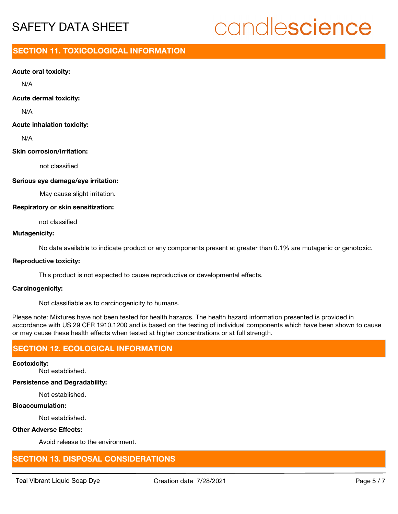# candlescience

# **SECTION 11. TOXICOLOGICAL INFORMATION**

### **Acute oral toxicity:**

N/A

# **Acute dermal toxicity:**

N/A

# **Acute inhalation toxicity:**

N/A

# **Skin corrosion/irritation:**

not classified

# **Serious eye damage/eye irritation:**

May cause slight irritation.

# **Respiratory or skin sensitization:**

not classified

# **Mutagenicity:**

No data available to indicate product or any components present at greater than 0.1% are mutagenic or genotoxic.

### **Reproductive toxicity:**

This product is not expected to cause reproductive or developmental effects.

### **Carcinogenicity:**

Not classifiable as to carcinogenicity to humans.

Please note: Mixtures have not been tested for health hazards. The health hazard information presented is provided in accordance with US 29 CFR 1910.1200 and is based on the testing of individual components which have been shown to cause or may cause these health effects when tested at higher concentrations or at full strength.

# **SECTION 12. ECOLOGICAL INFORMATION**

### **Ecotoxicity:**

Not established.

### **Persistence and Degradability:**

Not established.

# **Bioaccumulation:**

Not established.

# **Other Adverse Effects:**

Avoid release to the environment.

# **SECTION 13. DISPOSAL CONSIDERATIONS**